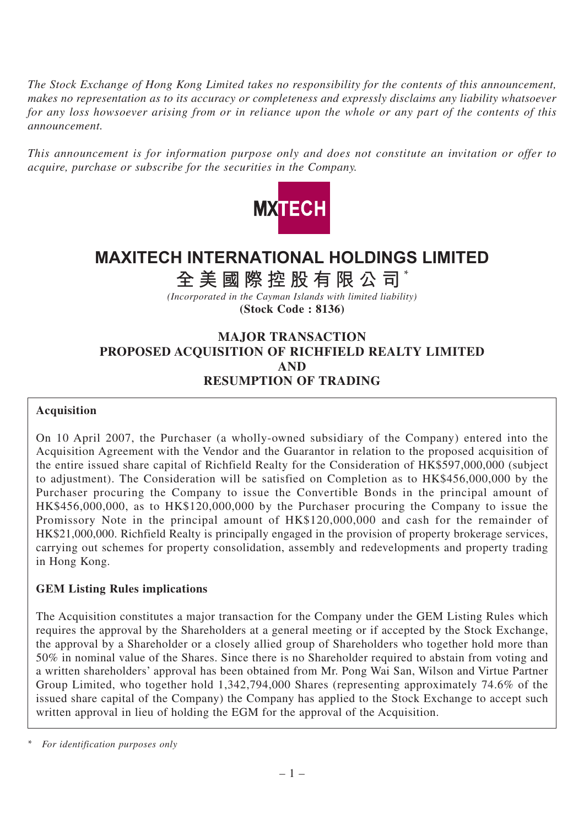*The Stock Exchange of Hong Kong Limited takes no responsibility for the contents of this announcement, makes no representation as to its accuracy or completeness and expressly disclaims any liability whatsoever for any loss howsoever arising from or in reliance upon the whole or any part of the contents of this announcement.*

*This announcement is for information purpose only and does not constitute an invitation or offer to acquire, purchase or subscribe for the securities in the Company.*



# **MAXITECH INTERNATIONAL HOLDINGS LIMITED**

# **全美國際控股有限公司** \*

*(Incorporated in the Cayman Islands with limited liability)* **(Stock Code : 8136)**

# **MAJOR TRANSACTION PROPOSED ACQUISITION OF RICHFIELD REALTY LIMITED AND RESUMPTION OF TRADING**

#### **Acquisition**

On 10 April 2007, the Purchaser (a wholly-owned subsidiary of the Company) entered into the Acquisition Agreement with the Vendor and the Guarantor in relation to the proposed acquisition of the entire issued share capital of Richfield Realty for the Consideration of HK\$597,000,000 (subject to adjustment). The Consideration will be satisfied on Completion as to HK\$456,000,000 by the Purchaser procuring the Company to issue the Convertible Bonds in the principal amount of HK\$456,000,000, as to HK\$120,000,000 by the Purchaser procuring the Company to issue the Promissory Note in the principal amount of HK\$120,000,000 and cash for the remainder of HK\$21,000,000. Richfield Realty is principally engaged in the provision of property brokerage services, carrying out schemes for property consolidation, assembly and redevelopments and property trading in Hong Kong.

## **GEM Listing Rules implications**

The Acquisition constitutes a major transaction for the Company under the GEM Listing Rules which requires the approval by the Shareholders at a general meeting or if accepted by the Stock Exchange, the approval by a Shareholder or a closely allied group of Shareholders who together hold more than 50% in nominal value of the Shares. Since there is no Shareholder required to abstain from voting and a written shareholders' approval has been obtained from Mr. Pong Wai San, Wilson and Virtue Partner Group Limited, who together hold 1,342,794,000 Shares (representing approximately 74.6% of the issued share capital of the Company) the Company has applied to the Stock Exchange to accept such written approval in lieu of holding the EGM for the approval of the Acquisition.

*<sup>\*</sup> For identification purposes only*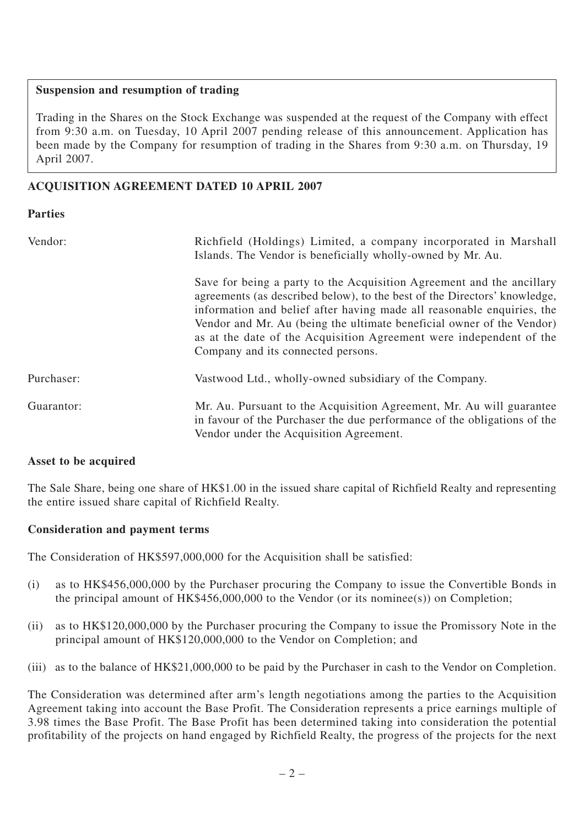## **Suspension and resumption of trading**

Trading in the Shares on the Stock Exchange was suspended at the request of the Company with effect from 9:30 a.m. on Tuesday, 10 April 2007 pending release of this announcement. Application has been made by the Company for resumption of trading in the Shares from 9:30 a.m. on Thursday, 19 April 2007.

# **ACQUISITION AGREEMENT DATED 10 APRIL 2007**

## **Parties**

| Vendor:    | Richfield (Holdings) Limited, a company incorporated in Marshall<br>Islands. The Vendor is beneficially wholly-owned by Mr. Au.                                                                                                                                                                                                                                                                                    |
|------------|--------------------------------------------------------------------------------------------------------------------------------------------------------------------------------------------------------------------------------------------------------------------------------------------------------------------------------------------------------------------------------------------------------------------|
|            | Save for being a party to the Acquisition Agreement and the ancillary<br>agreements (as described below), to the best of the Directors' knowledge,<br>information and belief after having made all reasonable enquiries, the<br>Vendor and Mr. Au (being the ultimate beneficial owner of the Vendor)<br>as at the date of the Acquisition Agreement were independent of the<br>Company and its connected persons. |
| Purchaser: | Vastwood Ltd., wholly-owned subsidiary of the Company.                                                                                                                                                                                                                                                                                                                                                             |
| Guarantor: | Mr. Au. Pursuant to the Acquisition Agreement, Mr. Au will guarantee<br>in favour of the Purchaser the due performance of the obligations of the<br>Vendor under the Acquisition Agreement.                                                                                                                                                                                                                        |

## **Asset to be acquired**

The Sale Share, being one share of HK\$1.00 in the issued share capital of Richfield Realty and representing the entire issued share capital of Richfield Realty.

## **Consideration and payment terms**

The Consideration of HK\$597,000,000 for the Acquisition shall be satisfied:

- (i) as to HK\$456,000,000 by the Purchaser procuring the Company to issue the Convertible Bonds in the principal amount of HK\$456,000,000 to the Vendor (or its nominee(s)) on Completion;
- (ii) as to HK\$120,000,000 by the Purchaser procuring the Company to issue the Promissory Note in the principal amount of HK\$120,000,000 to the Vendor on Completion; and
- (iii) as to the balance of HK\$21,000,000 to be paid by the Purchaser in cash to the Vendor on Completion.

The Consideration was determined after arm's length negotiations among the parties to the Acquisition Agreement taking into account the Base Profit. The Consideration represents a price earnings multiple of 3.98 times the Base Profit. The Base Profit has been determined taking into consideration the potential profitability of the projects on hand engaged by Richfield Realty, the progress of the projects for the next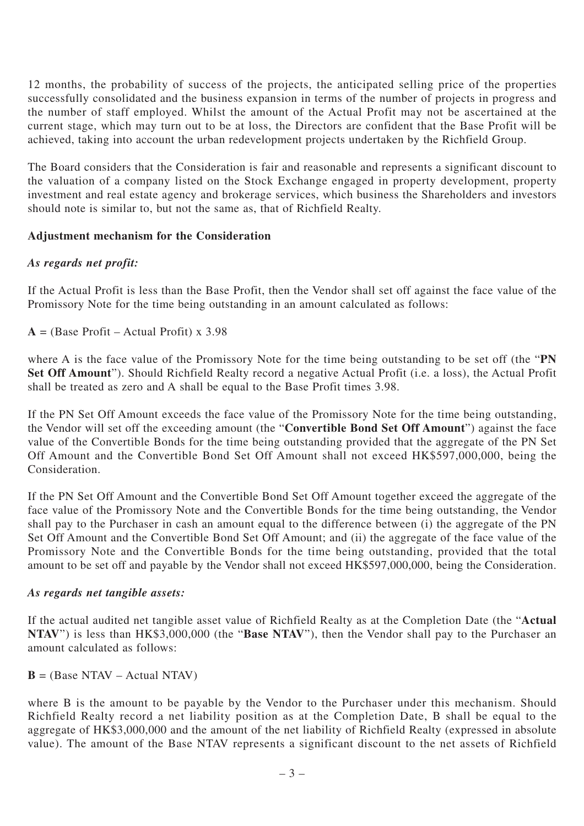12 months, the probability of success of the projects, the anticipated selling price of the properties successfully consolidated and the business expansion in terms of the number of projects in progress and the number of staff employed. Whilst the amount of the Actual Profit may not be ascertained at the current stage, which may turn out to be at loss, the Directors are confident that the Base Profit will be achieved, taking into account the urban redevelopment projects undertaken by the Richfield Group.

The Board considers that the Consideration is fair and reasonable and represents a significant discount to the valuation of a company listed on the Stock Exchange engaged in property development, property investment and real estate agency and brokerage services, which business the Shareholders and investors should note is similar to, but not the same as, that of Richfield Realty.

## **Adjustment mechanism for the Consideration**

#### *As regards net profit:*

If the Actual Profit is less than the Base Profit, then the Vendor shall set off against the face value of the Promissory Note for the time being outstanding in an amount calculated as follows:

 $A = (Base Profit - Actual Profit) \times 3.98$ 

where A is the face value of the Promissory Note for the time being outstanding to be set off (the "**PN Set Off Amount**"). Should Richfield Realty record a negative Actual Profit (i.e. a loss), the Actual Profit shall be treated as zero and A shall be equal to the Base Profit times 3.98.

If the PN Set Off Amount exceeds the face value of the Promissory Note for the time being outstanding, the Vendor will set off the exceeding amount (the "**Convertible Bond Set Off Amount**") against the face value of the Convertible Bonds for the time being outstanding provided that the aggregate of the PN Set Off Amount and the Convertible Bond Set Off Amount shall not exceed HK\$597,000,000, being the Consideration.

If the PN Set Off Amount and the Convertible Bond Set Off Amount together exceed the aggregate of the face value of the Promissory Note and the Convertible Bonds for the time being outstanding, the Vendor shall pay to the Purchaser in cash an amount equal to the difference between (i) the aggregate of the PN Set Off Amount and the Convertible Bond Set Off Amount; and (ii) the aggregate of the face value of the Promissory Note and the Convertible Bonds for the time being outstanding, provided that the total amount to be set off and payable by the Vendor shall not exceed HK\$597,000,000, being the Consideration.

#### *As regards net tangible assets:*

If the actual audited net tangible asset value of Richfield Realty as at the Completion Date (the "**Actual NTAV**") is less than HK\$3,000,000 (the "**Base NTAV**"), then the Vendor shall pay to the Purchaser an amount calculated as follows:

 $\mathbf{B}$  = (Base NTAV – Actual NTAV)

where B is the amount to be payable by the Vendor to the Purchaser under this mechanism. Should Richfield Realty record a net liability position as at the Completion Date, B shall be equal to the aggregate of HK\$3,000,000 and the amount of the net liability of Richfield Realty (expressed in absolute value). The amount of the Base NTAV represents a significant discount to the net assets of Richfield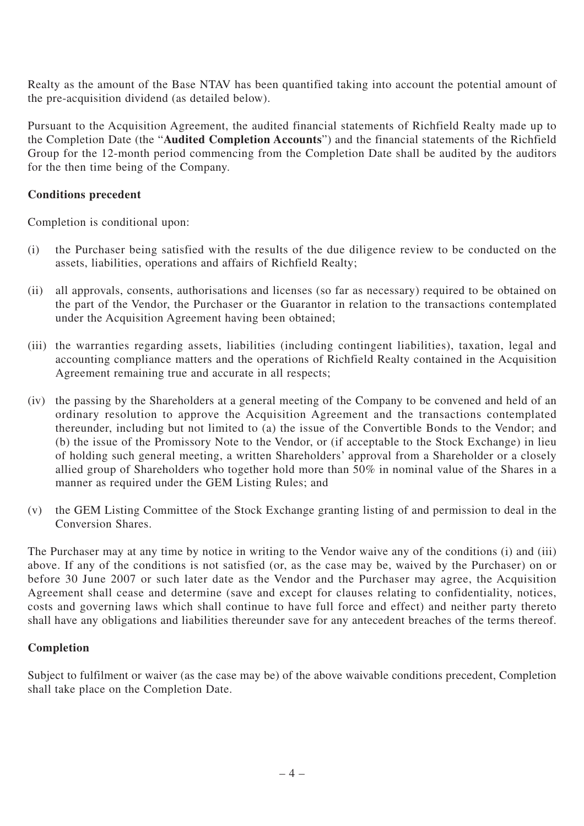Realty as the amount of the Base NTAV has been quantified taking into account the potential amount of the pre-acquisition dividend (as detailed below).

Pursuant to the Acquisition Agreement, the audited financial statements of Richfield Realty made up to the Completion Date (the "**Audited Completion Accounts**") and the financial statements of the Richfield Group for the 12-month period commencing from the Completion Date shall be audited by the auditors for the then time being of the Company.

## **Conditions precedent**

Completion is conditional upon:

- (i) the Purchaser being satisfied with the results of the due diligence review to be conducted on the assets, liabilities, operations and affairs of Richfield Realty;
- (ii) all approvals, consents, authorisations and licenses (so far as necessary) required to be obtained on the part of the Vendor, the Purchaser or the Guarantor in relation to the transactions contemplated under the Acquisition Agreement having been obtained;
- (iii) the warranties regarding assets, liabilities (including contingent liabilities), taxation, legal and accounting compliance matters and the operations of Richfield Realty contained in the Acquisition Agreement remaining true and accurate in all respects;
- (iv) the passing by the Shareholders at a general meeting of the Company to be convened and held of an ordinary resolution to approve the Acquisition Agreement and the transactions contemplated thereunder, including but not limited to (a) the issue of the Convertible Bonds to the Vendor; and (b) the issue of the Promissory Note to the Vendor, or (if acceptable to the Stock Exchange) in lieu of holding such general meeting, a written Shareholders' approval from a Shareholder or a closely allied group of Shareholders who together hold more than 50% in nominal value of the Shares in a manner as required under the GEM Listing Rules; and
- (v) the GEM Listing Committee of the Stock Exchange granting listing of and permission to deal in the Conversion Shares.

The Purchaser may at any time by notice in writing to the Vendor waive any of the conditions (i) and (iii) above. If any of the conditions is not satisfied (or, as the case may be, waived by the Purchaser) on or before 30 June 2007 or such later date as the Vendor and the Purchaser may agree, the Acquisition Agreement shall cease and determine (save and except for clauses relating to confidentiality, notices, costs and governing laws which shall continue to have full force and effect) and neither party thereto shall have any obligations and liabilities thereunder save for any antecedent breaches of the terms thereof.

## **Completion**

Subject to fulfilment or waiver (as the case may be) of the above waivable conditions precedent, Completion shall take place on the Completion Date.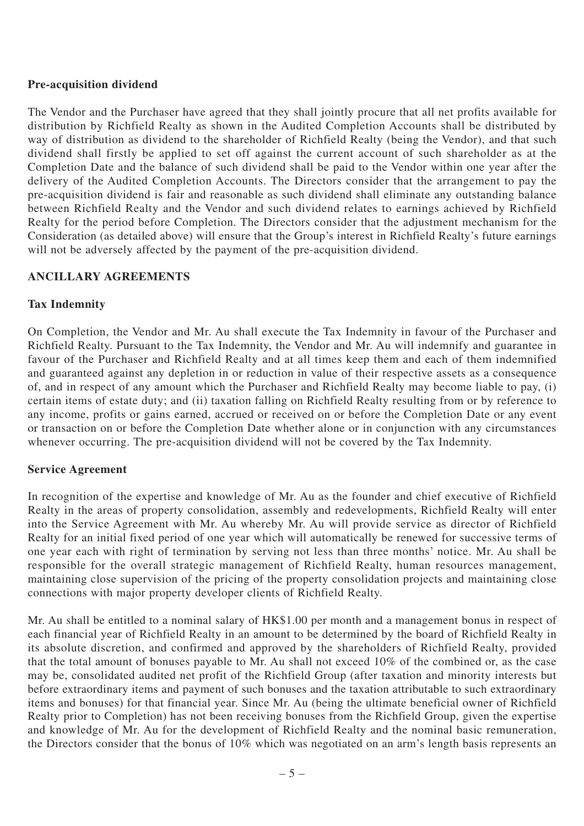## **Pre-acquisition dividend**

The Vendor and the Purchaser have agreed that they shall jointly procure that all net profits available for distribution by Richfield Realty as shown in the Audited Completion Accounts shall be distributed by way of distribution as dividend to the shareholder of Richfield Realty (being the Vendor), and that such dividend shall firstly be applied to set off against the current account of such shareholder as at the Completion Date and the balance of such dividend shall be paid to the Vendor within one year after the delivery of the Audited Completion Accounts. The Directors consider that the arrangement to pay the pre-acquisition dividend is fair and reasonable as such dividend shall eliminate any outstanding balance between Richfield Realty and the Vendor and such dividend relates to earnings achieved by Richfield Realty for the period before Completion. The Directors consider that the adjustment mechanism for the Consideration (as detailed above) will ensure that the Group's interest in Richfield Realty's future earnings will not be adversely affected by the payment of the pre-acquisition dividend.

## **ANCILLARY AGREEMENTS**

## **Tax Indemnity**

On Completion, the Vendor and Mr. Au shall execute the Tax Indemnity in favour of the Purchaser and Richfield Realty. Pursuant to the Tax Indemnity, the Vendor and Mr. Au will indemnify and guarantee in favour of the Purchaser and Richfield Realty and at all times keep them and each of them indemnified and guaranteed against any depletion in or reduction in value of their respective assets as a consequence of, and in respect of any amount which the Purchaser and Richfield Realty may become liable to pay, (i) certain items of estate duty; and (ii) taxation falling on Richfield Realty resulting from or by reference to any income, profits or gains earned, accrued or received on or before the Completion Date or any event or transaction on or before the Completion Date whether alone or in conjunction with any circumstances whenever occurring. The pre-acquisition dividend will not be covered by the Tax Indemnity.

## **Service Agreement**

In recognition of the expertise and knowledge of Mr. Au as the founder and chief executive of Richfield Realty in the areas of property consolidation, assembly and redevelopments, Richfield Realty will enter into the Service Agreement with Mr. Au whereby Mr. Au will provide service as director of Richfield Realty for an initial fixed period of one year which will automatically be renewed for successive terms of one year each with right of termination by serving not less than three months' notice. Mr. Au shall be responsible for the overall strategic management of Richfield Realty, human resources management, maintaining close supervision of the pricing of the property consolidation projects and maintaining close connections with major property developer clients of Richfield Realty.

Mr. Au shall be entitled to a nominal salary of HK\$1.00 per month and a management bonus in respect of each financial year of Richfield Realty in an amount to be determined by the board of Richfield Realty in its absolute discretion, and confirmed and approved by the shareholders of Richfield Realty, provided that the total amount of bonuses payable to Mr. Au shall not exceed 10% of the combined or, as the case may be, consolidated audited net profit of the Richfield Group (after taxation and minority interests but before extraordinary items and payment of such bonuses and the taxation attributable to such extraordinary items and bonuses) for that financial year. Since Mr. Au (being the ultimate beneficial owner of Richfield Realty prior to Completion) has not been receiving bonuses from the Richfield Group, given the expertise and knowledge of Mr. Au for the development of Richfield Realty and the nominal basic remuneration, the Directors consider that the bonus of 10% which was negotiated on an arm's length basis represents an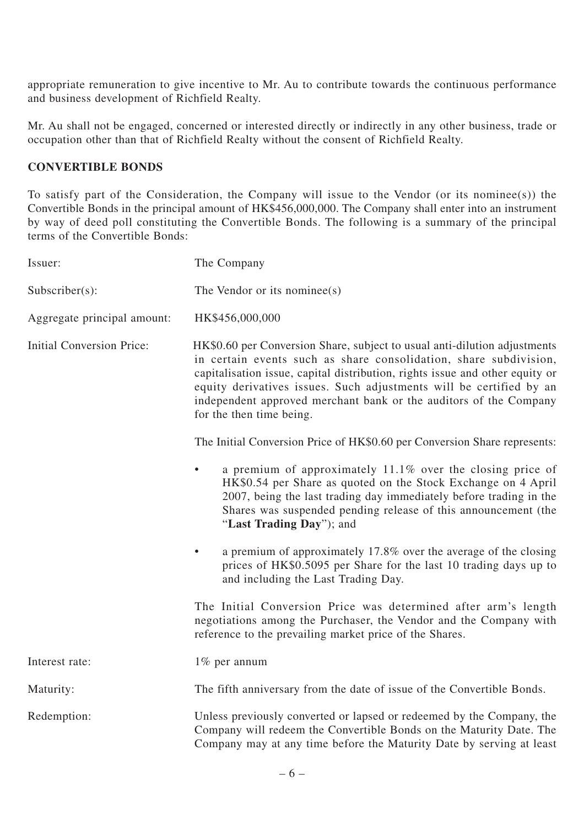appropriate remuneration to give incentive to Mr. Au to contribute towards the continuous performance and business development of Richfield Realty.

Mr. Au shall not be engaged, concerned or interested directly or indirectly in any other business, trade or occupation other than that of Richfield Realty without the consent of Richfield Realty.

# **CONVERTIBLE BONDS**

To satisfy part of the Consideration, the Company will issue to the Vendor (or its nominee(s)) the Convertible Bonds in the principal amount of HK\$456,000,000. The Company shall enter into an instrument by way of deed poll constituting the Convertible Bonds. The following is a summary of the principal terms of the Convertible Bonds:

| Issuer:                          | The Company                                                                                                                                                                                                                                                                                                                                                                                            |
|----------------------------------|--------------------------------------------------------------------------------------------------------------------------------------------------------------------------------------------------------------------------------------------------------------------------------------------------------------------------------------------------------------------------------------------------------|
| $Subscripter(s)$ :               | The Vendor or its nominee(s)                                                                                                                                                                                                                                                                                                                                                                           |
| Aggregate principal amount:      | HK\$456,000,000                                                                                                                                                                                                                                                                                                                                                                                        |
| <b>Initial Conversion Price:</b> | HK\$0.60 per Conversion Share, subject to usual anti-dilution adjustments<br>in certain events such as share consolidation, share subdivision,<br>capitalisation issue, capital distribution, rights issue and other equity or<br>equity derivatives issues. Such adjustments will be certified by an<br>independent approved merchant bank or the auditors of the Company<br>for the then time being. |
|                                  | The Initial Conversion Price of HK\$0.60 per Conversion Share represents:                                                                                                                                                                                                                                                                                                                              |
|                                  | a premium of approximately $11.1\%$ over the closing price of<br>$\bullet$<br>HK\$0.54 per Share as quoted on the Stock Exchange on 4 April<br>2007, being the last trading day immediately before trading in the<br>Shares was suspended pending release of this announcement (the<br>"Last Trading Day"); and                                                                                        |
|                                  | a premium of approximately 17.8% over the average of the closing<br>prices of HK\$0.5095 per Share for the last 10 trading days up to<br>and including the Last Trading Day.                                                                                                                                                                                                                           |
|                                  | The Initial Conversion Price was determined after arm's length<br>negotiations among the Purchaser, the Vendor and the Company with<br>reference to the prevailing market price of the Shares.                                                                                                                                                                                                         |
| Interest rate:                   | 1% per annum                                                                                                                                                                                                                                                                                                                                                                                           |
| Maturity:                        | The fifth anniversary from the date of issue of the Convertible Bonds.                                                                                                                                                                                                                                                                                                                                 |
| Redemption:                      | Unless previously converted or lapsed or redeemed by the Company, the<br>Company will redeem the Convertible Bonds on the Maturity Date. The<br>Company may at any time before the Maturity Date by serving at least                                                                                                                                                                                   |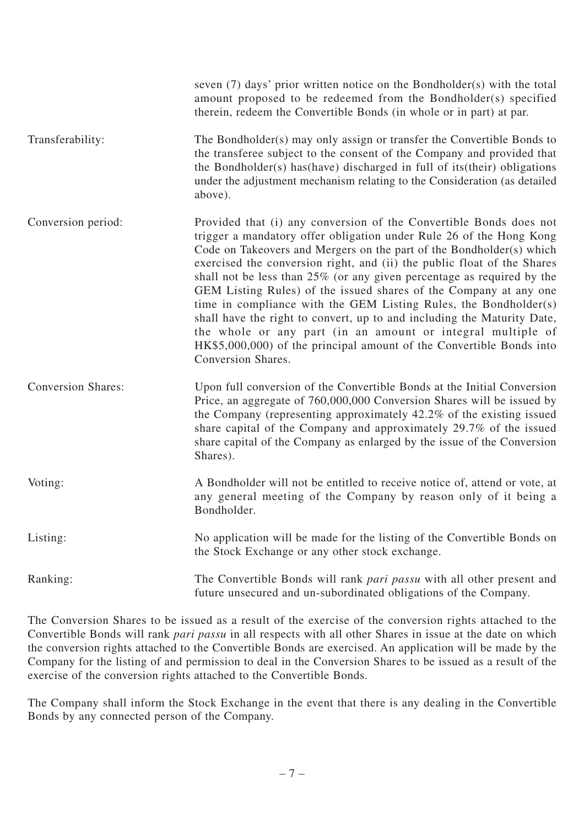|                           | seven $(7)$ days' prior written notice on the Bondholder $(s)$ with the total<br>amount proposed to be redeemed from the Bondholder(s) specified<br>therein, redeem the Convertible Bonds (in whole or in part) at par.                                                                                                                                                                                                                                                                                                                                                                                                                                                                                                                                    |
|---------------------------|------------------------------------------------------------------------------------------------------------------------------------------------------------------------------------------------------------------------------------------------------------------------------------------------------------------------------------------------------------------------------------------------------------------------------------------------------------------------------------------------------------------------------------------------------------------------------------------------------------------------------------------------------------------------------------------------------------------------------------------------------------|
| Transferability:          | The Bondholder(s) may only assign or transfer the Convertible Bonds to<br>the transferee subject to the consent of the Company and provided that<br>the Bondholder(s) has (have) discharged in full of its (their) obligations<br>under the adjustment mechanism relating to the Consideration (as detailed<br>above).                                                                                                                                                                                                                                                                                                                                                                                                                                     |
| Conversion period:        | Provided that (i) any conversion of the Convertible Bonds does not<br>trigger a mandatory offer obligation under Rule 26 of the Hong Kong<br>Code on Takeovers and Mergers on the part of the Bondholder(s) which<br>exercised the conversion right, and (ii) the public float of the Shares<br>shall not be less than $25\%$ (or any given percentage as required by the<br>GEM Listing Rules) of the issued shares of the Company at any one<br>time in compliance with the GEM Listing Rules, the Bondholder(s)<br>shall have the right to convert, up to and including the Maturity Date,<br>the whole or any part (in an amount or integral multiple of<br>HK\$5,000,000) of the principal amount of the Convertible Bonds into<br>Conversion Shares. |
| <b>Conversion Shares:</b> | Upon full conversion of the Convertible Bonds at the Initial Conversion<br>Price, an aggregate of 760,000,000 Conversion Shares will be issued by<br>the Company (representing approximately 42.2% of the existing issued<br>share capital of the Company and approximately 29.7% of the issued<br>share capital of the Company as enlarged by the issue of the Conversion<br>Shares).                                                                                                                                                                                                                                                                                                                                                                     |
| Voting:                   | A Bondholder will not be entitled to receive notice of, attend or vote, at<br>any general meeting of the Company by reason only of it being a<br>Bondholder.                                                                                                                                                                                                                                                                                                                                                                                                                                                                                                                                                                                               |
| Listing:                  | No application will be made for the listing of the Convertible Bonds on<br>the Stock Exchange or any other stock exchange.                                                                                                                                                                                                                                                                                                                                                                                                                                                                                                                                                                                                                                 |
| Ranking:                  | The Convertible Bonds will rank pari passu with all other present and<br>future unsecured and un-subordinated obligations of the Company.                                                                                                                                                                                                                                                                                                                                                                                                                                                                                                                                                                                                                  |

The Conversion Shares to be issued as a result of the exercise of the conversion rights attached to the Convertible Bonds will rank *pari passu* in all respects with all other Shares in issue at the date on which the conversion rights attached to the Convertible Bonds are exercised. An application will be made by the Company for the listing of and permission to deal in the Conversion Shares to be issued as a result of the exercise of the conversion rights attached to the Convertible Bonds.

The Company shall inform the Stock Exchange in the event that there is any dealing in the Convertible Bonds by any connected person of the Company.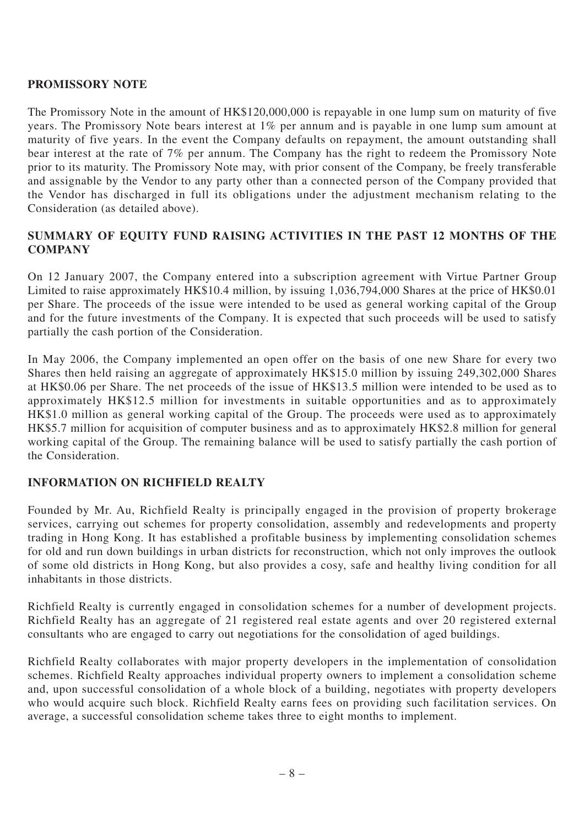## **PROMISSORY NOTE**

The Promissory Note in the amount of HK\$120,000,000 is repayable in one lump sum on maturity of five years. The Promissory Note bears interest at 1% per annum and is payable in one lump sum amount at maturity of five years. In the event the Company defaults on repayment, the amount outstanding shall bear interest at the rate of 7% per annum. The Company has the right to redeem the Promissory Note prior to its maturity. The Promissory Note may, with prior consent of the Company, be freely transferable and assignable by the Vendor to any party other than a connected person of the Company provided that the Vendor has discharged in full its obligations under the adjustment mechanism relating to the Consideration (as detailed above).

# **SUMMARY OF EQUITY FUND RAISING ACTIVITIES IN THE PAST 12 MONTHS OF THE COMPANY**

On 12 January 2007, the Company entered into a subscription agreement with Virtue Partner Group Limited to raise approximately HK\$10.4 million, by issuing 1,036,794,000 Shares at the price of HK\$0.01 per Share. The proceeds of the issue were intended to be used as general working capital of the Group and for the future investments of the Company. It is expected that such proceeds will be used to satisfy partially the cash portion of the Consideration.

In May 2006, the Company implemented an open offer on the basis of one new Share for every two Shares then held raising an aggregate of approximately HK\$15.0 million by issuing 249,302,000 Shares at HK\$0.06 per Share. The net proceeds of the issue of HK\$13.5 million were intended to be used as to approximately HK\$12.5 million for investments in suitable opportunities and as to approximately HK\$1.0 million as general working capital of the Group. The proceeds were used as to approximately HK\$5.7 million for acquisition of computer business and as to approximately HK\$2.8 million for general working capital of the Group. The remaining balance will be used to satisfy partially the cash portion of the Consideration.

# **INFORMATION ON RICHFIELD REALTY**

Founded by Mr. Au, Richfield Realty is principally engaged in the provision of property brokerage services, carrying out schemes for property consolidation, assembly and redevelopments and property trading in Hong Kong. It has established a profitable business by implementing consolidation schemes for old and run down buildings in urban districts for reconstruction, which not only improves the outlook of some old districts in Hong Kong, but also provides a cosy, safe and healthy living condition for all inhabitants in those districts.

Richfield Realty is currently engaged in consolidation schemes for a number of development projects. Richfield Realty has an aggregate of 21 registered real estate agents and over 20 registered external consultants who are engaged to carry out negotiations for the consolidation of aged buildings.

Richfield Realty collaborates with major property developers in the implementation of consolidation schemes. Richfield Realty approaches individual property owners to implement a consolidation scheme and, upon successful consolidation of a whole block of a building, negotiates with property developers who would acquire such block. Richfield Realty earns fees on providing such facilitation services. On average, a successful consolidation scheme takes three to eight months to implement.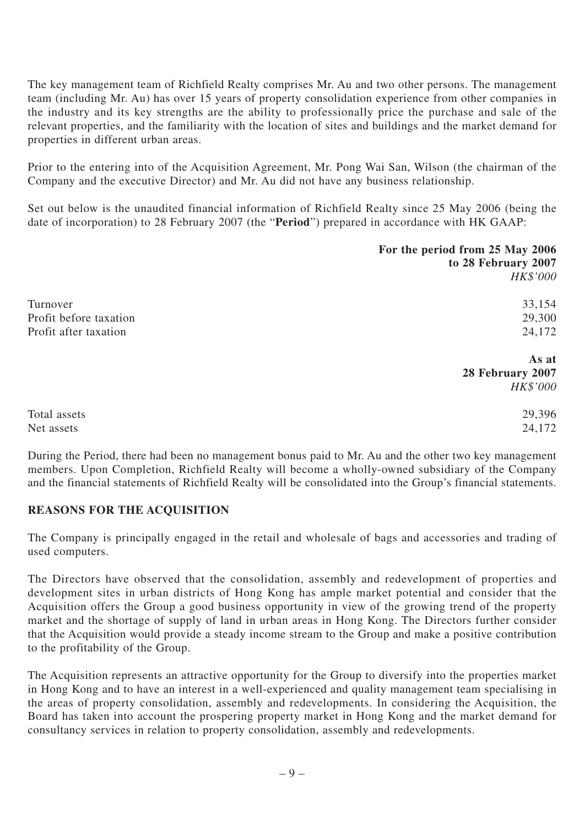The key management team of Richfield Realty comprises Mr. Au and two other persons. The management team (including Mr. Au) has over 15 years of property consolidation experience from other companies in the industry and its key strengths are the ability to professionally price the purchase and sale of the relevant properties, and the familiarity with the location of sites and buildings and the market demand for properties in different urban areas.

Prior to the entering into of the Acquisition Agreement, Mr. Pong Wai San, Wilson (the chairman of the Company and the executive Director) and Mr. Au did not have any business relationship.

Set out below is the unaudited financial information of Richfield Realty since 25 May 2006 (being the date of incorporation) to 28 February 2007 (the "**Period**") prepared in accordance with HK GAAP:

|                        | For the period from 25 May 2006 |
|------------------------|---------------------------------|
|                        | to 28 February 2007             |
|                        | <b>HK\$'000</b>                 |
| Turnover               | 33,154                          |
| Profit before taxation | 29,300                          |
| Profit after taxation  | 24,172                          |
|                        | As at                           |
|                        | 28 February 2007                |
|                        | <b>HK\$'000</b>                 |
| Total assets           | 29,396                          |
| Net assets             | 24,172                          |

During the Period, there had been no management bonus paid to Mr. Au and the other two key management members. Upon Completion, Richfield Realty will become a wholly-owned subsidiary of the Company and the financial statements of Richfield Realty will be consolidated into the Group's financial statements.

## **REASONS FOR THE ACQUISITION**

The Company is principally engaged in the retail and wholesale of bags and accessories and trading of used computers.

The Directors have observed that the consolidation, assembly and redevelopment of properties and development sites in urban districts of Hong Kong has ample market potential and consider that the Acquisition offers the Group a good business opportunity in view of the growing trend of the property market and the shortage of supply of land in urban areas in Hong Kong. The Directors further consider that the Acquisition would provide a steady income stream to the Group and make a positive contribution to the profitability of the Group.

The Acquisition represents an attractive opportunity for the Group to diversify into the properties market in Hong Kong and to have an interest in a well-experienced and quality management team specialising in the areas of property consolidation, assembly and redevelopments. In considering the Acquisition, the Board has taken into account the prospering property market in Hong Kong and the market demand for consultancy services in relation to property consolidation, assembly and redevelopments.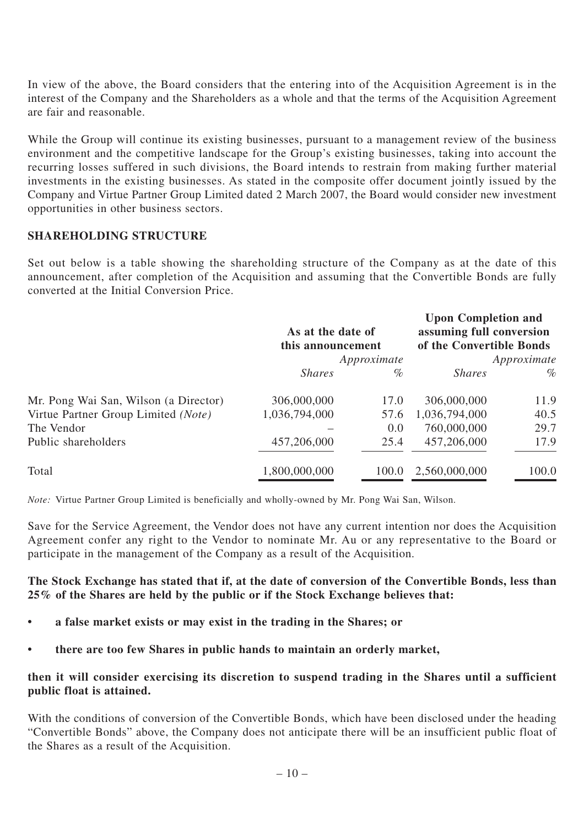In view of the above, the Board considers that the entering into of the Acquisition Agreement is in the interest of the Company and the Shareholders as a whole and that the terms of the Acquisition Agreement are fair and reasonable.

While the Group will continue its existing businesses, pursuant to a management review of the business environment and the competitive landscape for the Group's existing businesses, taking into account the recurring losses suffered in such divisions, the Board intends to restrain from making further material investments in the existing businesses. As stated in the composite offer document jointly issued by the Company and Virtue Partner Group Limited dated 2 March 2007, the Board would consider new investment opportunities in other business sectors.

#### **SHAREHOLDING STRUCTURE**

Set out below is a table showing the shareholding structure of the Company as at the date of this announcement, after completion of the Acquisition and assuming that the Convertible Bonds are fully converted at the Initial Conversion Price.

|                                       | As at the date of<br>this announcement<br>Approximate |       | <b>Upon Completion and</b><br>assuming full conversion<br>of the Convertible Bonds<br>Approximate |       |
|---------------------------------------|-------------------------------------------------------|-------|---------------------------------------------------------------------------------------------------|-------|
|                                       | <i>Shares</i>                                         | $\%$  | <i>Shares</i>                                                                                     | $\%$  |
| Mr. Pong Wai San, Wilson (a Director) | 306,000,000                                           | 17.0  | 306,000,000                                                                                       | 11.9  |
| Virtue Partner Group Limited (Note)   | 1,036,794,000                                         | 57.6  | 1,036,794,000                                                                                     | 40.5  |
| The Vendor                            |                                                       | 0.0   | 760,000,000                                                                                       | 29.7  |
| Public shareholders                   | 457,206,000                                           | 25.4  | 457,206,000                                                                                       | 17.9  |
| Total                                 | 1,800,000,000                                         | 100.0 | 2,560,000,000                                                                                     | 100.0 |

*Note:* Virtue Partner Group Limited is beneficially and wholly-owned by Mr. Pong Wai San, Wilson.

Save for the Service Agreement, the Vendor does not have any current intention nor does the Acquisition Agreement confer any right to the Vendor to nominate Mr. Au or any representative to the Board or participate in the management of the Company as a result of the Acquisition.

#### **The Stock Exchange has stated that if, at the date of conversion of the Convertible Bonds, less than 25% of the Shares are held by the public or if the Stock Exchange believes that:**

- **a false market exists or may exist in the trading in the Shares; or**
- **there are too few Shares in public hands to maintain an orderly market,**

#### **then it will consider exercising its discretion to suspend trading in the Shares until a sufficient public float is attained.**

With the conditions of conversion of the Convertible Bonds, which have been disclosed under the heading "Convertible Bonds" above, the Company does not anticipate there will be an insufficient public float of the Shares as a result of the Acquisition.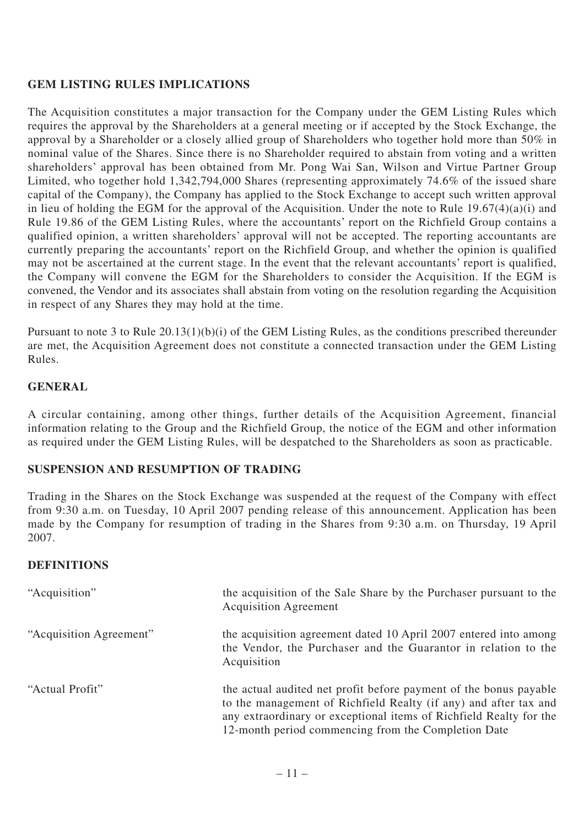# **GEM LISTING RULES IMPLICATIONS**

The Acquisition constitutes a major transaction for the Company under the GEM Listing Rules which requires the approval by the Shareholders at a general meeting or if accepted by the Stock Exchange, the approval by a Shareholder or a closely allied group of Shareholders who together hold more than 50% in nominal value of the Shares. Since there is no Shareholder required to abstain from voting and a written shareholders' approval has been obtained from Mr. Pong Wai San, Wilson and Virtue Partner Group Limited, who together hold 1,342,794,000 Shares (representing approximately 74.6% of the issued share capital of the Company), the Company has applied to the Stock Exchange to accept such written approval in lieu of holding the EGM for the approval of the Acquisition. Under the note to Rule  $19.67(4)(a)(i)$  and Rule 19.86 of the GEM Listing Rules, where the accountants' report on the Richfield Group contains a qualified opinion, a written shareholders' approval will not be accepted. The reporting accountants are currently preparing the accountants' report on the Richfield Group, and whether the opinion is qualified may not be ascertained at the current stage. In the event that the relevant accountants' report is qualified, the Company will convene the EGM for the Shareholders to consider the Acquisition. If the EGM is convened, the Vendor and its associates shall abstain from voting on the resolution regarding the Acquisition in respect of any Shares they may hold at the time.

Pursuant to note 3 to Rule 20.13(1)(b)(i) of the GEM Listing Rules, as the conditions prescribed thereunder are met, the Acquisition Agreement does not constitute a connected transaction under the GEM Listing Rules.

## **GENERAL**

A circular containing, among other things, further details of the Acquisition Agreement, financial information relating to the Group and the Richfield Group, the notice of the EGM and other information as required under the GEM Listing Rules, will be despatched to the Shareholders as soon as practicable.

## **SUSPENSION AND RESUMPTION OF TRADING**

Trading in the Shares on the Stock Exchange was suspended at the request of the Company with effect from 9:30 a.m. on Tuesday, 10 April 2007 pending release of this announcement. Application has been made by the Company for resumption of trading in the Shares from 9:30 a.m. on Thursday, 19 April 2007.

## **DEFINITIONS**

| "Acquisition"           | the acquisition of the Sale Share by the Purchaser pursuant to the<br><b>Acquisition Agreement</b>                                                                                                                                                                 |
|-------------------------|--------------------------------------------------------------------------------------------------------------------------------------------------------------------------------------------------------------------------------------------------------------------|
| "Acquisition Agreement" | the acquisition agreement dated 10 April 2007 entered into among<br>the Vendor, the Purchaser and the Guarantor in relation to the<br>Acquisition                                                                                                                  |
| "Actual Profit"         | the actual audited net profit before payment of the bonus payable<br>to the management of Richfield Realty (if any) and after tax and<br>any extraordinary or exceptional items of Richfield Realty for the<br>12-month period commencing from the Completion Date |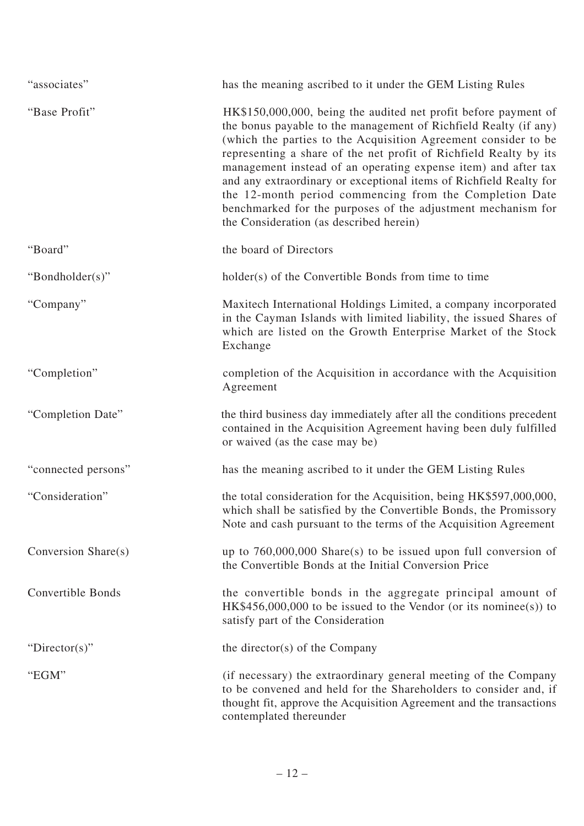| "associates"             | has the meaning ascribed to it under the GEM Listing Rules                                                                                                                                                                                                                                                                                                                                                                                                                                                                                                                               |
|--------------------------|------------------------------------------------------------------------------------------------------------------------------------------------------------------------------------------------------------------------------------------------------------------------------------------------------------------------------------------------------------------------------------------------------------------------------------------------------------------------------------------------------------------------------------------------------------------------------------------|
| "Base Profit"            | HK\$150,000,000, being the audited net profit before payment of<br>the bonus payable to the management of Richfield Realty (if any)<br>(which the parties to the Acquisition Agreement consider to be<br>representing a share of the net profit of Richfield Realty by its<br>management instead of an operating expense item) and after tax<br>and any extraordinary or exceptional items of Richfield Realty for<br>the 12-month period commencing from the Completion Date<br>benchmarked for the purposes of the adjustment mechanism for<br>the Consideration (as described herein) |
| "Board"                  | the board of Directors                                                                                                                                                                                                                                                                                                                                                                                                                                                                                                                                                                   |
| "Bondholder(s)"          | holder(s) of the Convertible Bonds from time to time                                                                                                                                                                                                                                                                                                                                                                                                                                                                                                                                     |
| "Company"                | Maxitech International Holdings Limited, a company incorporated<br>in the Cayman Islands with limited liability, the issued Shares of<br>which are listed on the Growth Enterprise Market of the Stock<br>Exchange                                                                                                                                                                                                                                                                                                                                                                       |
| "Completion"             | completion of the Acquisition in accordance with the Acquisition<br>Agreement                                                                                                                                                                                                                                                                                                                                                                                                                                                                                                            |
| "Completion Date"        | the third business day immediately after all the conditions precedent<br>contained in the Acquisition Agreement having been duly fulfilled<br>or waived (as the case may be)                                                                                                                                                                                                                                                                                                                                                                                                             |
| "connected persons"      | has the meaning ascribed to it under the GEM Listing Rules                                                                                                                                                                                                                                                                                                                                                                                                                                                                                                                               |
| "Consideration"          | the total consideration for the Acquisition, being HK\$597,000,000,<br>which shall be satisfied by the Convertible Bonds, the Promissory<br>Note and cash pursuant to the terms of the Acquisition Agreement                                                                                                                                                                                                                                                                                                                                                                             |
| Conversion Share(s)      | up to $760,000,000$ Share(s) to be issued upon full conversion of<br>the Convertible Bonds at the Initial Conversion Price                                                                                                                                                                                                                                                                                                                                                                                                                                                               |
| <b>Convertible Bonds</b> | the convertible bonds in the aggregate principal amount of<br>$HK$456,000,000$ to be issued to the Vendor (or its nominee(s)) to<br>satisfy part of the Consideration                                                                                                                                                                                                                                                                                                                                                                                                                    |
| "Director(s)"            | the director(s) of the Company                                                                                                                                                                                                                                                                                                                                                                                                                                                                                                                                                           |
| "EGM"                    | (if necessary) the extraordinary general meeting of the Company<br>to be convened and held for the Shareholders to consider and, if<br>thought fit, approve the Acquisition Agreement and the transactions<br>contemplated thereunder                                                                                                                                                                                                                                                                                                                                                    |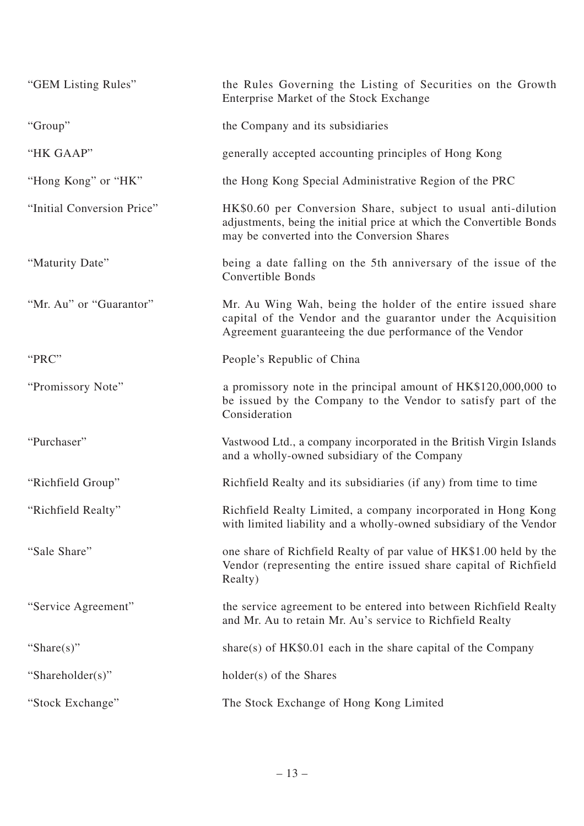| "GEM Listing Rules"        | the Rules Governing the Listing of Securities on the Growth<br>Enterprise Market of the Stock Exchange                                                                                    |
|----------------------------|-------------------------------------------------------------------------------------------------------------------------------------------------------------------------------------------|
| "Group"                    | the Company and its subsidiaries                                                                                                                                                          |
| "HK GAAP"                  | generally accepted accounting principles of Hong Kong                                                                                                                                     |
| "Hong Kong" or "HK"        | the Hong Kong Special Administrative Region of the PRC                                                                                                                                    |
| "Initial Conversion Price" | HK\$0.60 per Conversion Share, subject to usual anti-dilution<br>adjustments, being the initial price at which the Convertible Bonds<br>may be converted into the Conversion Shares       |
| "Maturity Date"            | being a date falling on the 5th anniversary of the issue of the<br>Convertible Bonds                                                                                                      |
| "Mr. Au" or "Guarantor"    | Mr. Au Wing Wah, being the holder of the entire issued share<br>capital of the Vendor and the guarantor under the Acquisition<br>Agreement guaranteeing the due performance of the Vendor |
| "PRC"                      | People's Republic of China                                                                                                                                                                |
| "Promissory Note"          | a promissory note in the principal amount of HK\$120,000,000 to<br>be issued by the Company to the Vendor to satisfy part of the<br>Consideration                                         |
| "Purchaser"                | Vastwood Ltd., a company incorporated in the British Virgin Islands<br>and a wholly-owned subsidiary of the Company                                                                       |
| "Richfield Group"          | Richfield Realty and its subsidiaries (if any) from time to time                                                                                                                          |
| "Richfield Realty"         | Richfield Realty Limited, a company incorporated in Hong Kong<br>with limited liability and a wholly-owned subsidiary of the Vendor                                                       |
| "Sale Share"               | one share of Richfield Realty of par value of HK\$1.00 held by the<br>Vendor (representing the entire issued share capital of Richfield<br>Realty)                                        |
| "Service Agreement"        | the service agreement to be entered into between Richfield Realty<br>and Mr. Au to retain Mr. Au's service to Richfield Realty                                                            |
| "Share $(s)$ "             | share(s) of $HK$0.01$ each in the share capital of the Company                                                                                                                            |
| "Shareholder(s)"           | holder(s) of the Shares                                                                                                                                                                   |
| "Stock Exchange"           | The Stock Exchange of Hong Kong Limited                                                                                                                                                   |